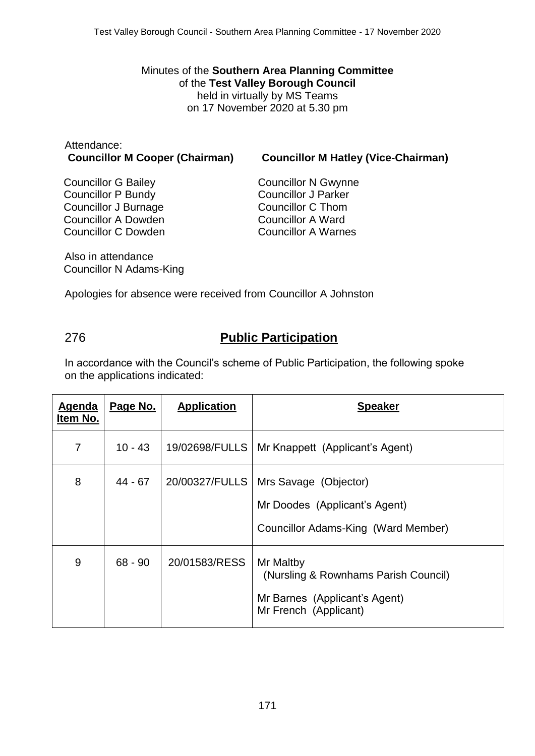Minutes of the **Southern Area Planning Committee** of the **Test Valley Borough Council** held in virtually by MS Teams on 17 November 2020 at 5.30 pm

# Attendance:

**Councillor M Cooper (Chairman) Councillor M Hatley (Vice-Chairman)**

Councillor G Bailey Councillor P Bundy Councillor J Burnage Councillor A Dowden Councillor C Dowden

Councillor N Gwynne Councillor J Parker Councillor C Thom Councillor A Ward Councillor A Warnes

Also in attendance Councillor N Adams-King

Apologies for absence were received from Councillor A Johnston

# 276 **Public Participation**

In accordance with the Council's scheme of Public Participation, the following spoke on the applications indicated:

| <b>Agenda</b><br>Item No. | Page No.  | <b>Application</b> | <b>Speaker</b>                                                                                              |
|---------------------------|-----------|--------------------|-------------------------------------------------------------------------------------------------------------|
| 7                         | $10 - 43$ | 19/02698/FULLS     | Mr Knappett (Applicant's Agent)                                                                             |
| 8                         | 44 - 67   | 20/00327/FULLS     | Mrs Savage (Objector)<br>Mr Doodes (Applicant's Agent)<br>Councillor Adams-King (Ward Member)               |
| 9                         | $68 - 90$ | 20/01583/RESS      | Mr Maltby<br>(Nursling & Rownhams Parish Council)<br>Mr Barnes (Applicant's Agent)<br>Mr French (Applicant) |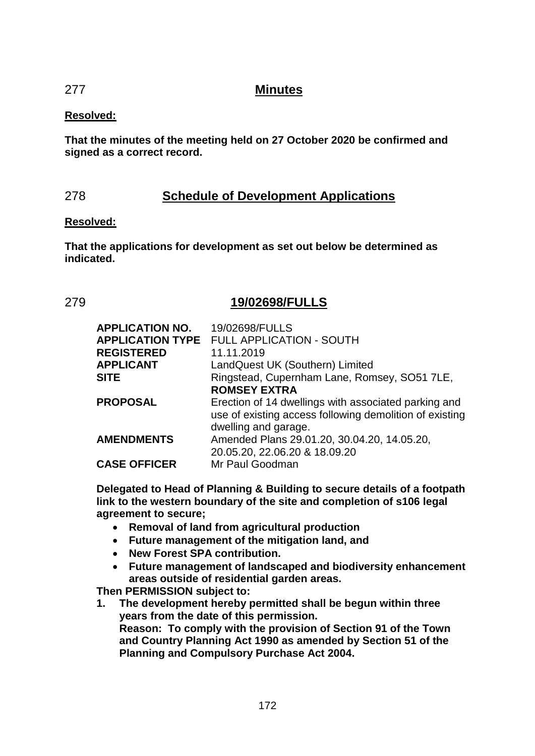# 277 **Minutes**

## **Resolved:**

**That the minutes of the meeting held on 27 October 2020 be confirmed and signed as a correct record.**

# 278 **Schedule of Development Applications**

### **Resolved:**

**That the applications for development as set out below be determined as indicated.**

# 279 **19/02698/FULLS**

| <b>APPLICATION NO.</b> | 19/02698/FULLS                                          |
|------------------------|---------------------------------------------------------|
|                        | <b>APPLICATION TYPE FULL APPLICATION - SOUTH</b>        |
| <b>REGISTERED</b>      | 11.11.2019                                              |
| <b>APPLICANT</b>       | LandQuest UK (Southern) Limited                         |
| <b>SITE</b>            | Ringstead, Cupernham Lane, Romsey, SO51 7LE,            |
|                        | <b>ROMSEY EXTRA</b>                                     |
| <b>PROPOSAL</b>        | Erection of 14 dwellings with associated parking and    |
|                        | use of existing access following demolition of existing |
|                        | dwelling and garage.                                    |
| <b>AMENDMENTS</b>      | Amended Plans 29.01.20, 30.04.20, 14.05.20,             |
|                        | 20.05.20, 22.06.20 & 18.09.20                           |
| <b>CASE OFFICER</b>    | Mr Paul Goodman                                         |

**Delegated to Head of Planning & Building to secure details of a footpath link to the western boundary of the site and completion of s106 legal agreement to secure;**

- **Removal of land from agricultural production**
- **Future management of the mitigation land, and**
- **New Forest SPA contribution.**
- **Future management of landscaped and biodiversity enhancement areas outside of residential garden areas.**

**Then PERMISSION subject to:**

**1. The development hereby permitted shall be begun within three years from the date of this permission. Reason: To comply with the provision of Section 91 of the Town and Country Planning Act 1990 as amended by Section 51 of the Planning and Compulsory Purchase Act 2004.**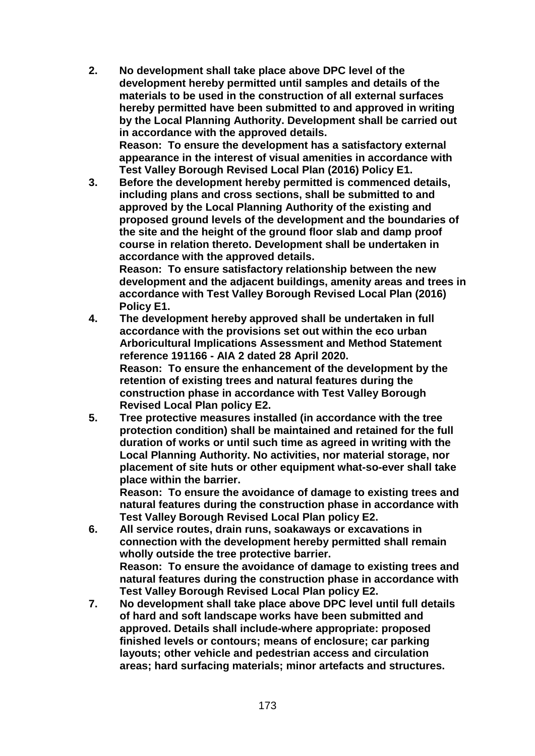- **2. No development shall take place above DPC level of the development hereby permitted until samples and details of the materials to be used in the construction of all external surfaces hereby permitted have been submitted to and approved in writing by the Local Planning Authority. Development shall be carried out in accordance with the approved details. Reason: To ensure the development has a satisfactory external appearance in the interest of visual amenities in accordance with Test Valley Borough Revised Local Plan (2016) Policy E1.**
- **3. Before the development hereby permitted is commenced details, including plans and cross sections, shall be submitted to and approved by the Local Planning Authority of the existing and proposed ground levels of the development and the boundaries of the site and the height of the ground floor slab and damp proof course in relation thereto. Development shall be undertaken in accordance with the approved details. Reason: To ensure satisfactory relationship between the new development and the adjacent buildings, amenity areas and trees in accordance with Test Valley Borough Revised Local Plan (2016)**
- **Policy E1. 4. The development hereby approved shall be undertaken in full accordance with the provisions set out within the eco urban Arboricultural Implications Assessment and Method Statement reference 191166 - AIA 2 dated 28 April 2020. Reason: To ensure the enhancement of the development by the retention of existing trees and natural features during the construction phase in accordance with Test Valley Borough Revised Local Plan policy E2.**
- **5. Tree protective measures installed (in accordance with the tree protection condition) shall be maintained and retained for the full duration of works or until such time as agreed in writing with the Local Planning Authority. No activities, nor material storage, nor placement of site huts or other equipment what-so-ever shall take place within the barrier.**

**Reason: To ensure the avoidance of damage to existing trees and natural features during the construction phase in accordance with Test Valley Borough Revised Local Plan policy E2.**

- **6. All service routes, drain runs, soakaways or excavations in connection with the development hereby permitted shall remain wholly outside the tree protective barrier. Reason: To ensure the avoidance of damage to existing trees and natural features during the construction phase in accordance with Test Valley Borough Revised Local Plan policy E2.**
- **7. No development shall take place above DPC level until full details of hard and soft landscape works have been submitted and approved. Details shall include-where appropriate: proposed finished levels or contours; means of enclosure; car parking layouts; other vehicle and pedestrian access and circulation areas; hard surfacing materials; minor artefacts and structures.**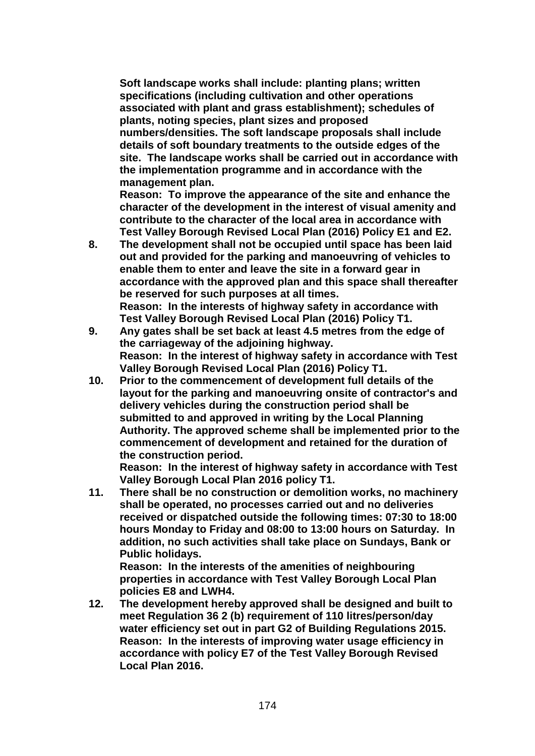**Soft landscape works shall include: planting plans; written specifications (including cultivation and other operations associated with plant and grass establishment); schedules of plants, noting species, plant sizes and proposed numbers/densities. The soft landscape proposals shall include details of soft boundary treatments to the outside edges of the site. The landscape works shall be carried out in accordance with the implementation programme and in accordance with the management plan.**

**Reason: To improve the appearance of the site and enhance the character of the development in the interest of visual amenity and contribute to the character of the local area in accordance with Test Valley Borough Revised Local Plan (2016) Policy E1 and E2.** 

- **8. The development shall not be occupied until space has been laid out and provided for the parking and manoeuvring of vehicles to enable them to enter and leave the site in a forward gear in accordance with the approved plan and this space shall thereafter be reserved for such purposes at all times. Reason: In the interests of highway safety in accordance with Test Valley Borough Revised Local Plan (2016) Policy T1.**
- **9. Any gates shall be set back at least 4.5 metres from the edge of the carriageway of the adjoining highway. Reason: In the interest of highway safety in accordance with Test Valley Borough Revised Local Plan (2016) Policy T1.**
- **10. Prior to the commencement of development full details of the layout for the parking and manoeuvring onsite of contractor's and delivery vehicles during the construction period shall be submitted to and approved in writing by the Local Planning Authority. The approved scheme shall be implemented prior to the commencement of development and retained for the duration of the construction period.**

**Reason: In the interest of highway safety in accordance with Test Valley Borough Local Plan 2016 policy T1.**

**11. There shall be no construction or demolition works, no machinery shall be operated, no processes carried out and no deliveries received or dispatched outside the following times: 07:30 to 18:00 hours Monday to Friday and 08:00 to 13:00 hours on Saturday. In addition, no such activities shall take place on Sundays, Bank or Public holidays.**

**Reason: In the interests of the amenities of neighbouring properties in accordance with Test Valley Borough Local Plan policies E8 and LWH4.**

**12. The development hereby approved shall be designed and built to meet Regulation 36 2 (b) requirement of 110 litres/person/day water efficiency set out in part G2 of Building Regulations 2015. Reason: In the interests of improving water usage efficiency in accordance with policy E7 of the Test Valley Borough Revised Local Plan 2016.**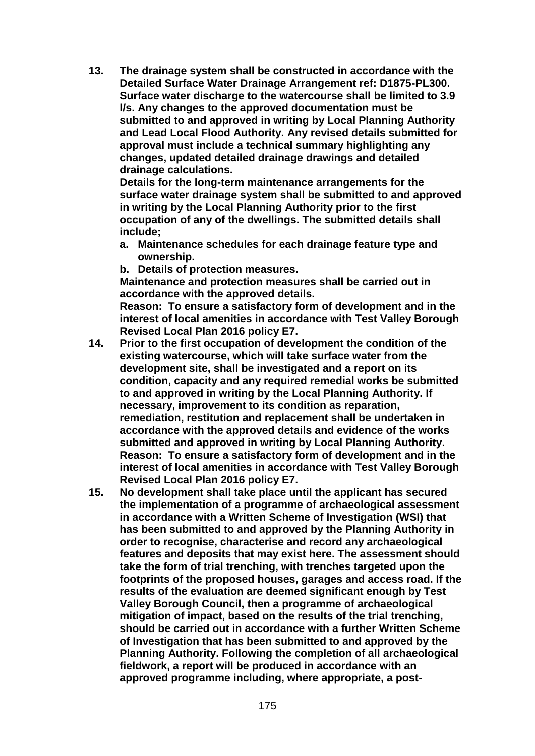**13. The drainage system shall be constructed in accordance with the Detailed Surface Water Drainage Arrangement ref: D1875-PL300. Surface water discharge to the watercourse shall be limited to 3.9 l/s. Any changes to the approved documentation must be submitted to and approved in writing by Local Planning Authority and Lead Local Flood Authority. Any revised details submitted for approval must include a technical summary highlighting any changes, updated detailed drainage drawings and detailed drainage calculations.**

**Details for the long-term maintenance arrangements for the surface water drainage system shall be submitted to and approved in writing by the Local Planning Authority prior to the first occupation of any of the dwellings. The submitted details shall include;**

- **a. Maintenance schedules for each drainage feature type and ownership.**
- **b. Details of protection measures.**

**Maintenance and protection measures shall be carried out in accordance with the approved details.** 

**Reason: To ensure a satisfactory form of development and in the interest of local amenities in accordance with Test Valley Borough Revised Local Plan 2016 policy E7.**

- **14. Prior to the first occupation of development the condition of the existing watercourse, which will take surface water from the development site, shall be investigated and a report on its condition, capacity and any required remedial works be submitted to and approved in writing by the Local Planning Authority. If necessary, improvement to its condition as reparation, remediation, restitution and replacement shall be undertaken in accordance with the approved details and evidence of the works submitted and approved in writing by Local Planning Authority. Reason: To ensure a satisfactory form of development and in the interest of local amenities in accordance with Test Valley Borough Revised Local Plan 2016 policy E7.**
- **15. No development shall take place until the applicant has secured the implementation of a programme of archaeological assessment in accordance with a Written Scheme of Investigation (WSI) that has been submitted to and approved by the Planning Authority in order to recognise, characterise and record any archaeological features and deposits that may exist here. The assessment should take the form of trial trenching, with trenches targeted upon the footprints of the proposed houses, garages and access road. If the results of the evaluation are deemed significant enough by Test Valley Borough Council, then a programme of archaeological mitigation of impact, based on the results of the trial trenching, should be carried out in accordance with a further Written Scheme of Investigation that has been submitted to and approved by the Planning Authority. Following the completion of all archaeological fieldwork, a report will be produced in accordance with an approved programme including, where appropriate, a post-**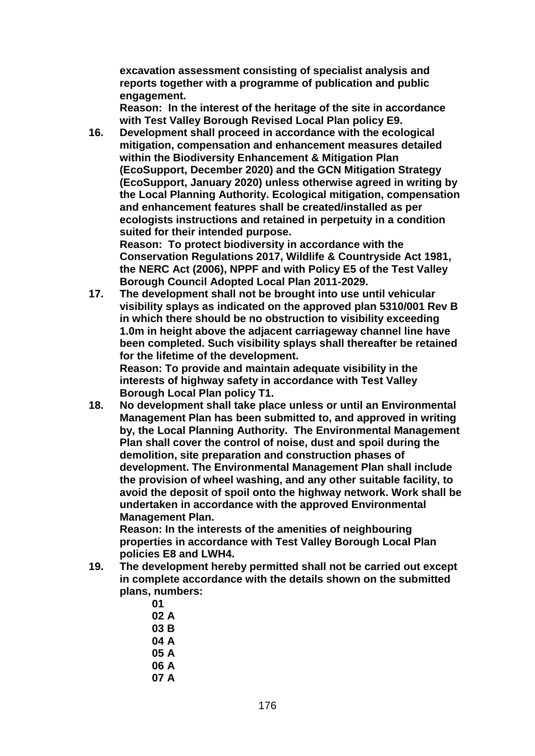**excavation assessment consisting of specialist analysis and reports together with a programme of publication and public engagement.**

**Reason: In the interest of the heritage of the site in accordance with Test Valley Borough Revised Local Plan policy E9.**

**16. Development shall proceed in accordance with the ecological mitigation, compensation and enhancement measures detailed within the Biodiversity Enhancement & Mitigation Plan (EcoSupport, December 2020) and the GCN Mitigation Strategy (EcoSupport, January 2020) unless otherwise agreed in writing by the Local Planning Authority. Ecological mitigation, compensation and enhancement features shall be created/installed as per ecologists instructions and retained in perpetuity in a condition suited for their intended purpose.**

**Reason: To protect biodiversity in accordance with the Conservation Regulations 2017, Wildlife & Countryside Act 1981, the NERC Act (2006), NPPF and with Policy E5 of the Test Valley Borough Council Adopted Local Plan 2011-2029.**

**17. The development shall not be brought into use until vehicular visibility splays as indicated on the approved plan 5310/001 Rev B in which there should be no obstruction to visibility exceeding 1.0m in height above the adjacent carriageway channel line have been completed. Such visibility splays shall thereafter be retained for the lifetime of the development.**

**Reason: To provide and maintain adequate visibility in the interests of highway safety in accordance with Test Valley Borough Local Plan policy T1.**

**18. No development shall take place unless or until an Environmental Management Plan has been submitted to, and approved in writing by, the Local Planning Authority. The Environmental Management Plan shall cover the control of noise, dust and spoil during the demolition, site preparation and construction phases of development. The Environmental Management Plan shall include the provision of wheel washing, and any other suitable facility, to avoid the deposit of spoil onto the highway network. Work shall be undertaken in accordance with the approved Environmental Management Plan.** 

**Reason: In the interests of the amenities of neighbouring properties in accordance with Test Valley Borough Local Plan policies E8 and LWH4.**

- **19. The development hereby permitted shall not be carried out except in complete accordance with the details shown on the submitted plans, numbers:**
	- **01**
	- **02 A**
	- **03 B**
	- **04 A**
	- **05 A**
	- **06 A**
	- **07 A**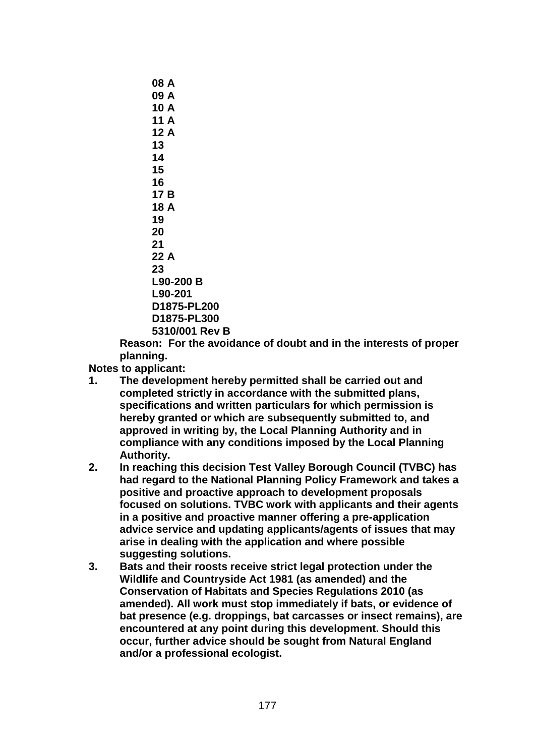**08 A 09 A 10 A 11 A 12 A 13 14 15 16 17 B 18 A 19 20 21 22 A 23 L90-200 B L90-201 D1875-PL200 D1875-PL300 5310/001 Rev B**

**Reason: For the avoidance of doubt and in the interests of proper planning.**

**Notes to applicant:**

- **1. The development hereby permitted shall be carried out and completed strictly in accordance with the submitted plans, specifications and written particulars for which permission is hereby granted or which are subsequently submitted to, and approved in writing by, the Local Planning Authority and in compliance with any conditions imposed by the Local Planning Authority.**
- **2. In reaching this decision Test Valley Borough Council (TVBC) has had regard to the National Planning Policy Framework and takes a positive and proactive approach to development proposals focused on solutions. TVBC work with applicants and their agents in a positive and proactive manner offering a pre-application advice service and updating applicants/agents of issues that may arise in dealing with the application and where possible suggesting solutions.**
- **3. Bats and their roosts receive strict legal protection under the Wildlife and Countryside Act 1981 (as amended) and the Conservation of Habitats and Species Regulations 2010 (as amended). All work must stop immediately if bats, or evidence of bat presence (e.g. droppings, bat carcasses or insect remains), are encountered at any point during this development. Should this occur, further advice should be sought from Natural England and/or a professional ecologist.**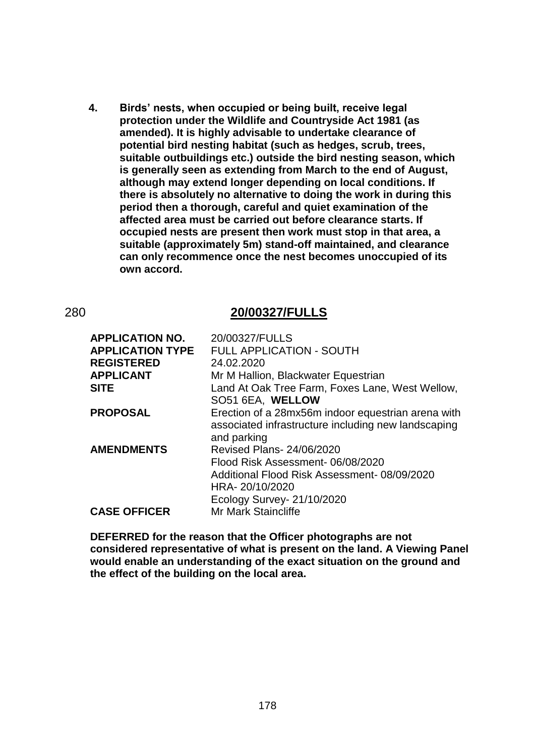**4. Birds' nests, when occupied or being built, receive legal protection under the Wildlife and Countryside Act 1981 (as amended). It is highly advisable to undertake clearance of potential bird nesting habitat (such as hedges, scrub, trees, suitable outbuildings etc.) outside the bird nesting season, which is generally seen as extending from March to the end of August, although may extend longer depending on local conditions. If there is absolutely no alternative to doing the work in during this period then a thorough, careful and quiet examination of the affected area must be carried out before clearance starts. If occupied nests are present then work must stop in that area, a suitable (approximately 5m) stand-off maintained, and clearance can only recommence once the nest becomes unoccupied of its own accord.**

### 280 **20/00327/FULLS**

| <b>APPLICATION NO.</b>  | 20/00327/FULLS                                      |
|-------------------------|-----------------------------------------------------|
| <b>APPLICATION TYPE</b> | <b>FULL APPLICATION - SOUTH</b>                     |
| <b>REGISTERED</b>       | 24.02.2020                                          |
| <b>APPLICANT</b>        | Mr M Hallion, Blackwater Equestrian                 |
| <b>SITE</b>             | Land At Oak Tree Farm, Foxes Lane, West Wellow,     |
|                         | SO51 6EA, WELLOW                                    |
| <b>PROPOSAL</b>         | Erection of a 28mx56m indoor equestrian arena with  |
|                         | associated infrastructure including new landscaping |
|                         | and parking                                         |
| <b>AMENDMENTS</b>       | <b>Revised Plans- 24/06/2020</b>                    |
|                         | Flood Risk Assessment-06/08/2020                    |
|                         | Additional Flood Risk Assessment-08/09/2020         |
|                         | HRA-20/10/2020                                      |
|                         | Ecology Survey- 21/10/2020                          |
| <b>CASE OFFICER</b>     | <b>Mr Mark Staincliffe</b>                          |

**DEFERRED for the reason that the Officer photographs are not considered representative of what is present on the land. A Viewing Panel would enable an understanding of the exact situation on the ground and the effect of the building on the local area.**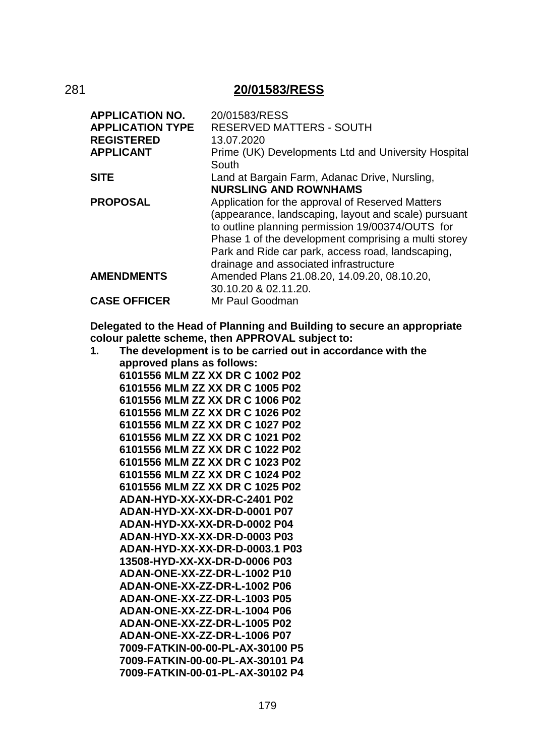# 281 **20/01583/RESS**

| <b>APPLICATION NO.</b>  | 20/01583/RESS                                                                                                                                                                                                                                                                                                       |
|-------------------------|---------------------------------------------------------------------------------------------------------------------------------------------------------------------------------------------------------------------------------------------------------------------------------------------------------------------|
| <b>APPLICATION TYPE</b> | <b>RESERVED MATTERS - SOUTH</b>                                                                                                                                                                                                                                                                                     |
| <b>REGISTERED</b>       | 13.07.2020                                                                                                                                                                                                                                                                                                          |
| <b>APPLICANT</b>        | Prime (UK) Developments Ltd and University Hospital                                                                                                                                                                                                                                                                 |
|                         | South                                                                                                                                                                                                                                                                                                               |
| <b>SITE</b>             | Land at Bargain Farm, Adanac Drive, Nursling,                                                                                                                                                                                                                                                                       |
|                         | <b>NURSLING AND ROWNHAMS</b>                                                                                                                                                                                                                                                                                        |
| <b>PROPOSAL</b>         | Application for the approval of Reserved Matters<br>(appearance, landscaping, layout and scale) pursuant<br>to outline planning permission 19/00374/OUTS for<br>Phase 1 of the development comprising a multi storey<br>Park and Ride car park, access road, landscaping,<br>drainage and associated infrastructure |
| <b>AMENDMENTS</b>       | Amended Plans 21.08.20, 14.09.20, 08.10.20,<br>30.10.20 & 02.11.20.                                                                                                                                                                                                                                                 |
| <b>CASE OFFICER</b>     | Mr Paul Goodman                                                                                                                                                                                                                                                                                                     |

**Delegated to the Head of Planning and Building to secure an appropriate colour palette scheme, then APPROVAL subject to:**

| 1. | The development is to be carried out in accordance with the |
|----|-------------------------------------------------------------|
|    | approved plans as follows:                                  |
|    | 6101556 MLM ZZ XX DR C 1002 P02                             |
|    | 6101556 MLM ZZ XX DR C 1005 P02                             |
|    | 6101556 MLM ZZ XX DR C 1006 P02                             |
|    | 6101556 MLM ZZ XX DR C 1026 P02                             |
|    | 6101556 MLM ZZ XX DR C 1027 P02                             |
|    | 6101556 MLM ZZ XX DR C 1021 P02                             |
|    | 6101556 MLM ZZ XX DR C 1022 P02                             |
|    | 6101556 MLM ZZ XX DR C 1023 P02                             |
|    | 6101556 MLM ZZ XX DR C 1024 P02                             |
|    | 6101556 MLM ZZ XX DR C 1025 P02                             |
|    | ADAN-HYD-XX-XX-DR-C-2401 P02                                |
|    | ADAN-HYD-XX-XX-DR-D-0001 P07                                |
|    | ADAN-HYD-XX-XX-DR-D-0002 P04                                |
|    | ADAN-HYD-XX-XX-DR-D-0003 P03                                |
|    | ADAN-HYD-XX-XX-DR-D-0003.1 P03                              |
|    | 13508-HYD-XX-XX-DR-D-0006 P03                               |
|    | ADAN-ONE-XX-ZZ-DR-L-1002 P10                                |
|    | ADAN-ONE-XX-ZZ-DR-L-1002 P06                                |
|    | ADAN-ONE-XX-ZZ-DR-L-1003 P05                                |
|    | ADAN-ONE-XX-ZZ-DR-L-1004 P06                                |
|    | ADAN-ONE-XX-ZZ-DR-L-1005 P02                                |
|    | ADAN-ONE-XX-ZZ-DR-L-1006 P07                                |
|    | 7009-FATKIN-00-00-PL-AX-30100 P5                            |
|    | 7009-FATKIN-00-00-PL-AX-30101 P4                            |
|    | 7009-FATKIN-00-01-PL-AX-30102 P4                            |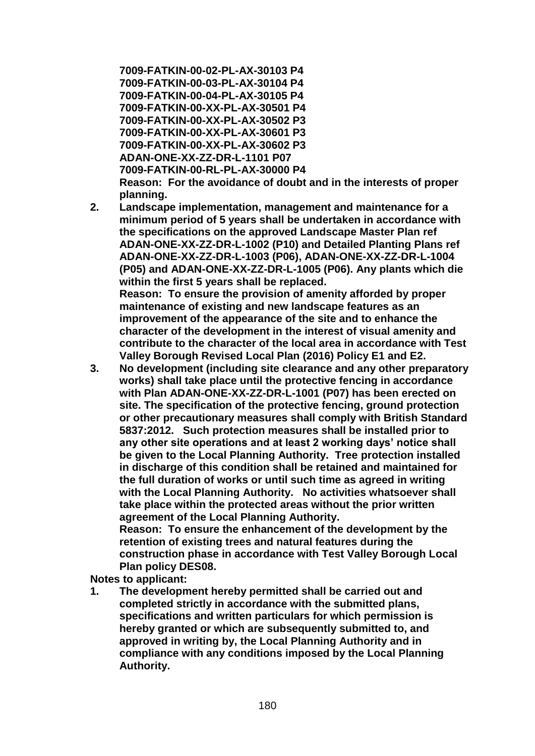**7009-FATKIN-00-02-PL-AX-30103 P4 7009-FATKIN-00-03-PL-AX-30104 P4 7009-FATKIN-00-04-PL-AX-30105 P4 7009-FATKIN-00-XX-PL-AX-30501 P4 7009-FATKIN-00-XX-PL-AX-30502 P3 7009-FATKIN-00-XX-PL-AX-30601 P3 7009-FATKIN-00-XX-PL-AX-30602 P3 ADAN-ONE-XX-ZZ-DR-L-1101 P07 7009-FATKIN-00-RL-PL-AX-30000 P4 Reason: For the avoidance of doubt and in the interests of proper planning.**

- **2. Landscape implementation, management and maintenance for a minimum period of 5 years shall be undertaken in accordance with the specifications on the approved Landscape Master Plan ref ADAN-ONE-XX-ZZ-DR-L-1002 (P10) and Detailed Planting Plans ref ADAN-ONE-XX-ZZ-DR-L-1003 (P06), ADAN-ONE-XX-ZZ-DR-L-1004 (P05) and ADAN-ONE-XX-ZZ-DR-L-1005 (P06). Any plants which die within the first 5 years shall be replaced. Reason: To ensure the provision of amenity afforded by proper maintenance of existing and new landscape features as an improvement of the appearance of the site and to enhance the character of the development in the interest of visual amenity and contribute to the character of the local area in accordance with Test**
- **Valley Borough Revised Local Plan (2016) Policy E1 and E2. 3. No development (including site clearance and any other preparatory works) shall take place until the protective fencing in accordance with Plan ADAN-ONE-XX-ZZ-DR-L-1001 (P07) has been erected on site. The specification of the protective fencing, ground protection or other precautionary measures shall comply with British Standard 5837:2012. Such protection measures shall be installed prior to any other site operations and at least 2 working days' notice shall be given to the Local Planning Authority. Tree protection installed in discharge of this condition shall be retained and maintained for the full duration of works or until such time as agreed in writing with the Local Planning Authority. No activities whatsoever shall take place within the protected areas without the prior written agreement of the Local Planning Authority. Reason: To ensure the enhancement of the development by the**

**retention of existing trees and natural features during the construction phase in accordance with Test Valley Borough Local Plan policy DES08.**

**Notes to applicant:**

**1. The development hereby permitted shall be carried out and completed strictly in accordance with the submitted plans, specifications and written particulars for which permission is hereby granted or which are subsequently submitted to, and approved in writing by, the Local Planning Authority and in compliance with any conditions imposed by the Local Planning Authority.**